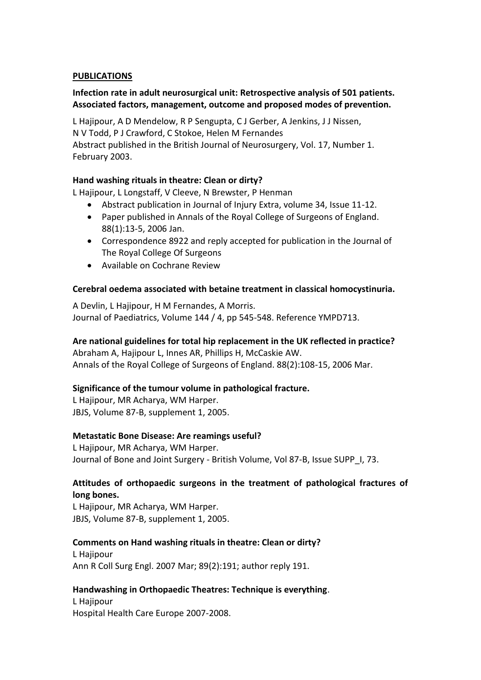#### **PUBLICATIONS**

## **Infection rate in adult neurosurgical unit: Retrospective analysis of 501 patients. Associated factors, management, outcome and proposed modes of prevention.**

L Hajipour, A D Mendelow, R P Sengupta, C J Gerber, A Jenkins, J J Nissen, N V Todd, P J Crawford, C Stokoe, Helen M Fernandes Abstract published in the British Journal of Neurosurgery, Vol. 17, Number 1. February 2003.

## **Hand washing rituals in theatre: Clean or dirty?**

L Hajipour, L Longstaff, V Cleeve, N Brewster, P Henman

- Abstract publication in Journal of Injury Extra, volume 34, Issue 11-12.
- Paper published in Annals of the Royal College of Surgeons of England. 88(1):13-5, 2006 Jan.
- Correspondence 8922 and reply accepted for publication in the Journal of The Royal College Of Surgeons
- Available on Cochrane Review

#### **Cerebral oedema associated with betaine treatment in classical homocystinuria.**

A Devlin, L Hajipour, H M Fernandes, A Morris. Journal of Paediatrics, Volume 144 / 4, pp 545-548. Reference YMPD713.

#### **Are national guidelines for total hip replacement in the UK reflected in practice?**

Abraham A, Hajipour L, Innes AR, Phillips H, McCaskie AW. Annals of the Royal College of Surgeons of England. 88(2):108-15, 2006 Mar.

#### **Significance of the tumour volume in pathological fracture.**

L Hajipour, MR Acharya, WM Harper. JBJS, Volume 87-B, supplement 1, 2005.

#### **Metastatic Bone Disease: Are reamings useful?**

L Hajipour, MR Acharya, WM Harper. Journal of Bone and Joint Surgery - British Volume, Vol 87-B, Issue SUPP\_I, 73.

## **Attitudes of orthopaedic surgeons in the treatment of pathological fractures of long bones.**

L Hajipour, MR Acharya, WM Harper. JBJS, Volume 87-B, supplement 1, 2005.

#### **Comments on Hand washing rituals in theatre: Clean or dirty?**

L Hajipour [Ann R Coll Surg Engl. 2007 Mar; 89\(2\):191; author reply 191.](http://www.ncbi.nlm.nih.gov/sites/entrez?Db=pubmed&Cmd=ShowDetailView&TermToSearch=17346420) 

## **Handwashing in Orthopaedic Theatres: Technique is everything**.

L Hajipour Hospital Health Care Europe 2007-2008.